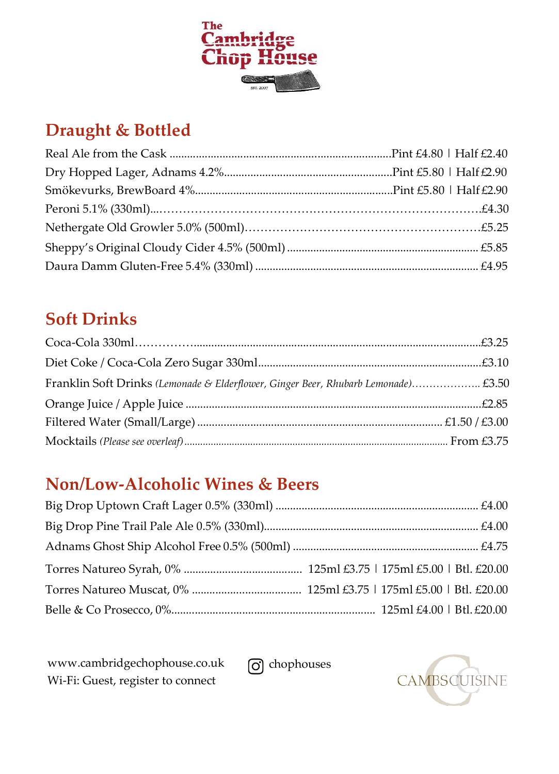

# **Draught & Bottled**

# **Soft Drinks**

| Franklin Soft Drinks (Lemonade & Elderflower, Ginger Beer, Rhubarb Lemonade) £3.50 |  |
|------------------------------------------------------------------------------------|--|
|                                                                                    |  |
|                                                                                    |  |
|                                                                                    |  |

## **Non/Low-Alcoholic Wines & Beers**

[www.cambridgechophouse.co.uk](http://www.cambridgechophouse.co.uk/) Wi-Fi: Guest, register to connect

conde chophouses